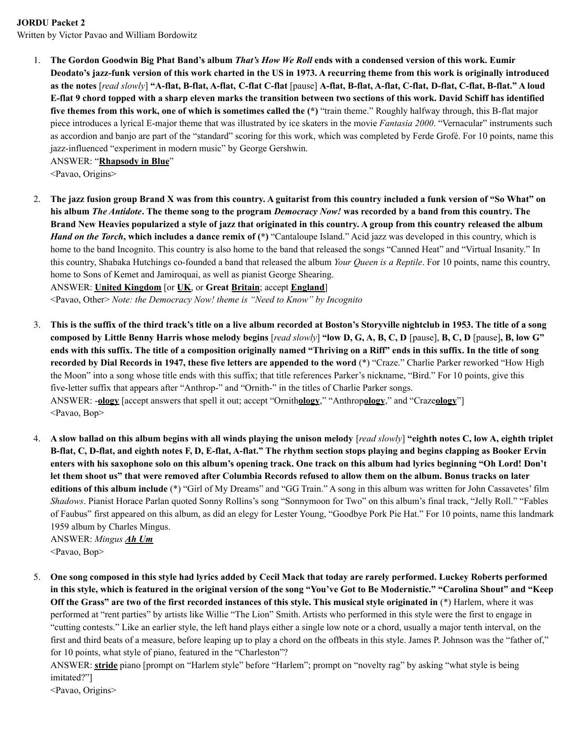## **JORDU Packet 2**

Written by Victor Pavao and William Bordowitz

1. The Gordon Goodwin Big Phat Band's album That's How We Roll ends with a condensed version of this work. Eumir Deodato's jazz-funk version of this work charted in the US in 1973. A recurring theme from this work is originally introduced as the notes [read slowly] "A-flat, B-flat, A-flat, C-flat C-flat [pause] A-flat, B-flat, A-flat, C-flat, D-flat, C-flat, B-flat." A loud E-flat 9 chord topped with a sharp eleven marks the transition between two sections of this work. David Schiff has identified **five themes from this work, one of which is sometimes called the (\*)** "train theme." Roughly halfway through, this B-flat major piece introduces a lyrical E-major theme that was illustrated by ice skaters in the movie *Fantasia 2000*. "Vernacular" instruments such as accordion and banjo are part of the "standard" scoring for this work, which was completed by Ferde Grofé. For 10 points, name this jazz-influenced "experiment in modern music" by George Gershwin.

ANSWER: "**Rhapsody in Blue**"

<Pavao, Origins>

2. The jazz fusion group Brand X was from this country. A guitarist from this country included a funk version of "So What" on his album *The Antidote*. The theme song to the program *Democracy Now!* was recorded by a band from this country. The Brand New Heavies popularized a style of jazz that originated in this country. A group from this country released the album *Hand on the Torch***, which includes a dance remix of (\*)** "Cantaloupe Island." Acid jazz was developed in this country, which is home to the band Incognito. This country is also home to the band that released the songs "Canned Heat" and "Virtual Insanity." In this country, Shabaka Hutchings co-founded a band that released the album *Your Queen is a Reptile*. For 10 points, name this country, home to Sons of Kemet and Jamiroquai, as well as pianist George Shearing.

ANSWER: **United Kingdom** [or **UK**, or **Great Britain**; accept **England**]

<Pavao, Other> *Note: the Democracy Now! theme is "Need to Know" by Incognito*

- 3. This is the suffix of the third track's title on a live album recorded at Boston's Storyville nightclub in 1953. The title of a song composed by Little Benny Harris whose melody begins [read slowly] "low D, G, A, B, C, D [pause], B, C, D [pause], B, low G" ends with this suffix. The title of a composition originally named "Thriving on a Riff" ends in this suffix. In the title of song **recorded by Dial Records in 1947, these five letters are appended to the word** (\*) "Craze." Charlie Parker reworked "How High the Moon" into a song whose title ends with this suffix; that title references Parker's nickname, "Bird." For 10 points, give this five-letter suffix that appears after "Anthrop-" and "Ornith-" in the titles of Charlie Parker songs. ANSWER: -**ology** [accept answers that spell it out; accept "Ornith**ology**," "Anthrop**ology**," and "Craze**ology**"] <Pavao, Bop>
- 4. A slow ballad on this album begins with all winds playing the unison melody [read slowly] "eighth notes C, low A, eighth triplet B-flat, C, D-flat, and eighth notes F, D, E-flat, A-flat." The rhythm section stops playing and begins clapping as Booker Ervin enters with his saxophone solo on this album's opening track. One track on this album had lyrics beginning "Oh Lord! Don't let them shoot us" that were removed after Columbia Records refused to allow them on the album. Bonus tracks on later **editions of this album include** (\*) "Girl of My Dreams" and "GG Train." A song in this album was written for John Cassavetes' film *Shadows*. Pianist Horace Parlan quoted Sonny Rollins's song "Sonnymoon for Two" on this album's final track, "Jelly Roll." "Fables of Faubus" first appeared on this album, as did an elegy for Lester Young, "Goodbye Pork Pie Hat." For 10 points, name this landmark 1959 album by Charles Mingus.

ANSWER: *Mingus Ah Um* <Pavao, Bop>

5. One song composed in this style had lyrics added by Cecil Mack that today are rarely performed. Luckey Roberts performed in this style, which is featured in the original version of the song "You've Got to Be Modernistic." "Carolina Shout" and "Keep Off the Grass" are two of the first recorded instances of this style. This musical style originated in (\*) Harlem, where it was performed at "rent parties" by artists like Willie "The Lion" Smith. Artists who performed in this style were the first to engage in "cutting contests." Like an earlier style, the left hand plays either a single low note or a chord, usually a major tenth interval, on the first and third beats of a measure, before leaping up to play a chord on the offbeats in this style. James P. Johnson was the "father of," for 10 points, what style of piano, featured in the "Charleston"?

ANSWER: **stride** piano [prompt on "Harlem style" before "Harlem"; prompt on "novelty rag" by asking "what style is being imitated?"]

<Pavao, Origins>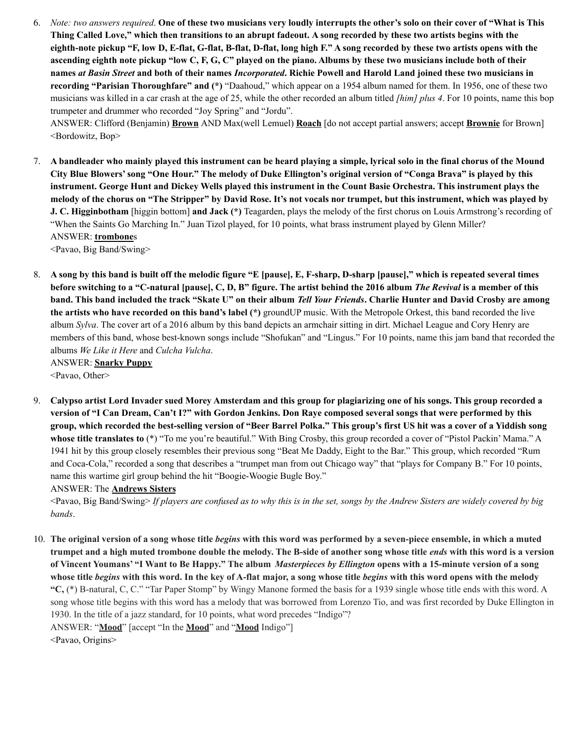6. Note: two answers required. One of these two musicians very loudly interrupts the other's solo on their cover of "What is This Thing Called Love," which then transitions to an abrupt fadeout. A song recorded by these two artists begins with the eighth-note pickup "F, low D, E-flat, G-flat, B-flat, D-flat, long high F." A song recorded by these two artists opens with the ascending eighth note pickup "low C, F, G, C" played on the piano. Albums by these two musicians include both of their names at Basin Street and both of their names Incorporated. Richie Powell and Harold Land joined these two musicians in **recording "Parisian Thoroughfare" and (\*)** "Daahoud," which appear on a 1954 album named for them. In 1956, one of these two musicians was killed in a car crash at the age of 25, while the other recorded an album titled *[him] plus 4*. For 10 points, name this bop trumpeter and drummer who recorded "Joy Spring" and "Jordu".

ANSWER: Clifford (Benjamin) **Brown** AND Max(well Lemuel) **Roach** [do not accept partial answers; accept **Brownie** for Brown] <Bordowitz, Bop>

7. A bandleader who mainly played this instrument can be heard playing a simple, lyrical solo in the final chorus of the Mound City Blue Blowers' song "One Hour." The melody of Duke Ellington's original version of "Conga Brava" is played by this instrument. George Hunt and Dickey Wells played this instrument in the Count Basie Orchestra. This instrument plays the melody of the chorus on "The Stripper" by David Rose. It's not vocals nor trumpet, but this instrument, which was played by **J. C. Higginbotham** [higgin bottom] **and Jack (\*)** Teagarden, plays the melody of the first chorus on Louis Armstrong's recording of "When the Saints Go Marching In." Juan Tizol played, for 10 points, what brass instrument played by Glenn Miller? ANSWER: **trombone**s

<Pavao, Big Band/Swing>

8. A song by this band is built off the melodic figure "E [pause], E, F-sharp, D-sharp [pause]," which is repeated several times before switching to a "C-natural [pause], C, D, B" figure. The artist behind the 2016 album The Revival is a member of this band. This band included the track "Skate U" on their album Tell Your Friends. Charlie Hunter and David Crosby are among **the artists who have recorded on this band's label (\*)** groundUP music. With the Metropole Orkest, this band recorded the live album *Sylva*. The cover art of a 2016 album by this band depicts an armchair sitting in dirt. Michael League and Cory Henry are members of this band, whose best-known songs include "Shofukan" and "Lingus." For 10 points, name this jam band that recorded the albums *We Like it Here* and *Culcha Vulcha*. ANSWER: **Snarky Puppy**

<Pavao, Other>

9. Calypso artist Lord Invader sued Morey Amsterdam and this group for plagiarizing one of his songs. This group recorded a version of "I Can Dream, Can't I?" with Gordon Jenkins. Don Raye composed several songs that were performed by this group, which recorded the best-selling version of "Beer Barrel Polka." This group's first US hit was a cover of a Yiddish song **whose title translates to** (\*) "To me you're beautiful." With Bing Crosby, this group recorded a cover of "Pistol Packin' Mama." A 1941 hit by this group closely resembles their previous song "Beat Me Daddy, Eight to the Bar." This group, which recorded "Rum and Coca-Cola," recorded a song that describes a "trumpet man from out Chicago way" that "plays for Company B." For 10 points, name this wartime girl group behind the hit "Boogie-Woogie Bugle Boy."

ANSWER: The **Andrews Sisters**

<Pavao, Big Band/Swing> If players are confused as to why this is in the set, songs by the Andrew Sisters are widely covered by big *bands*.

10. The original version of a song whose title *begins* with this word was performed by a seven-piece ensemble, in which a muted trumpet and a high muted trombone double the melody. The B-side of another song whose title *ends* with this word is a version of Vincent Youmans' "I Want to Be Happy." The album Masterpieces by Ellington opens with a 15-minute version of a song whose title begins with this word. In the key of A-flat major, a song whose title begins with this word opens with the melody **"C,** (\*) B-natural, C, C." "Tar Paper Stomp" by Wingy Manone formed the basis for a 1939 single whose title ends with this word. A song whose title begins with this word has a melody that was borrowed from Lorenzo Tio, and was first recorded by Duke Ellington in 1930. In the title of a jazz standard, for 10 points, what word precedes "Indigo"? ANSWER: "**Mood**" [accept "In the **Mood**" and "**Mood** Indigo"]

<Pavao, Origins>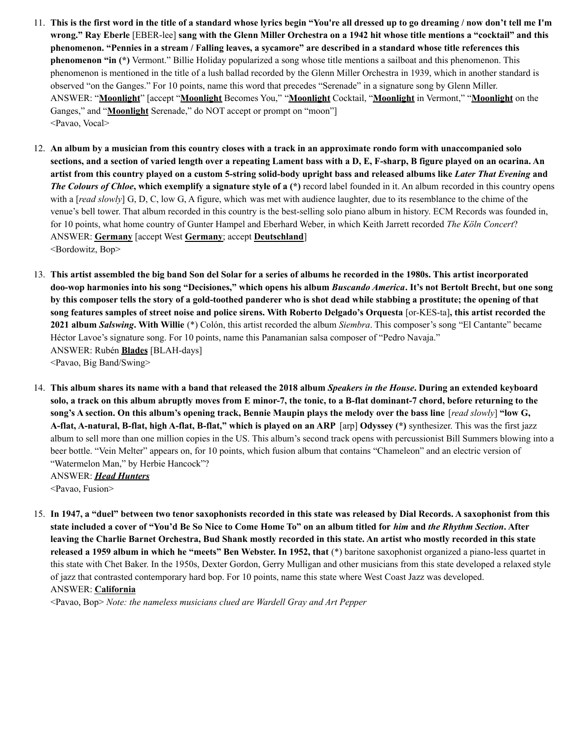- 11. This is the first word in the title of a standard whose lyrics begin "You're all dressed up to go dreaming / now don't tell me I'm wrong." Ray Eberle [EBER-lee] sang with the Glenn Miller Orchestra on a 1942 hit whose title mentions a "cocktail" and this phenomenon. "Pennies in a stream / Falling leaves, a sycamore" are described in a standard whose title references this **phenomenon "in (\*)** Vermont." Billie Holiday popularized a song whose title mentions a sailboat and this phenomenon. This phenomenon is mentioned in the title of a lush ballad recorded by the Glenn Miller Orchestra in 1939, which in another standard is observed "on the Ganges." For 10 points, name this word that precedes "Serenade" in a signature song by Glenn Miller. ANSWER: "**Moonlight**" [accept "**Moonlight** Becomes You," "**Moonlight** Cocktail, "**Moonlight** in Vermont," "**Moonlight** on the Ganges," and "**Moonlight** Serenade," do NOT accept or prompt on "moon"] <Pavao, Vocal>
- 12. An album by a musician from this country closes with a track in an approximate rondo form with unaccompanied solo sections, and a section of varied length over a repeating Lament bass with a D, E, F-sharp, B figure played on an ocarina. An artist from this country played on a custom 5-string solid-body upright bass and released albums like Later That Evening and *The Colours of Chloe***, which exemplify a signature style of a (\*)** record label founded in it. An album recorded in this country opens with a *[read slowly*] G, D, C, low G, A figure, which was met with audience laughter, due to its resemblance to the chime of the venue's bell tower. That album recorded in this country is the best-selling solo piano album in history. ECM Records was founded in, for 10 points, what home country of Gunter Hampel and Eberhard Weber, in which Keith Jarrett recorded *The Köln Concert*? ANSWER: **Germany** [accept West **Germany**; accept **Deutschland**] <Bordowitz, Bop>
- 13. This artist assembled the big band Son del Solar for a series of albums he recorded in the 1980s. This artist incorporated doo-wop harmonies into his song "Decisiones," which opens his album Buscando America. It's not Bertolt Brecht, but one song by this composer tells the story of a gold-toothed panderer who is shot dead while stabbing a prostitute; the opening of that song features samples of street noise and police sirens. With Roberto Delgado's Orquesta [or-KES-ta], this artist recorded the **2021 album** *Salswing***. With Willie** (\*) Colón, this artist recorded the album *Siembra*. This composer's song "El Cantante" became Héctor Lavoe's signature song. For 10 points, name this Panamanian salsa composer of "Pedro Navaja." ANSWER: Rubén **Blades** [BLAH-days] <Pavao, Big Band/Swing>
- 14. This album shares its name with a band that released the 2018 album Speakers in the House. During an extended keyboard solo, a track on this album abruptly moves from E minor-7, the tonic, to a B-flat dominant-7 chord, before returning to the song's A section. On this album's opening track, Bennie Maupin plays the melody over the bass line [read slowly] "low G, A-flat, A-natural, B-flat, high A-flat, B-flat," which is played on an ARP [arp] Odyssey (\*) synthesizer. This was the first jazz album to sell more than one million copies in the US. This album's second track opens with percussionist Bill Summers blowing into a beer bottle. "Vein Melter" appears on, for 10 points, which fusion album that contains "Chameleon" and an electric version of "Watermelon Man," by Herbie Hancock"?

ANSWER: *Head Hunters* <Pavao, Fusion>

15. In 1947, a "duel" between two tenor saxophonists recorded in this state was released by Dial Records. A saxophonist from this state included a cover of "You'd Be So Nice to Come Home To" on an album titled for him and the Rhythm Section. After leaving the Charlie Barnet Orchestra, Bud Shank mostly recorded in this state. An artist who mostly recorded in this state **released a 1959 album in which he "meets" Ben Webster. In 1952, that** (\*) baritone saxophonist organized a piano-less quartet in this state with Chet Baker. In the 1950s, Dexter Gordon, Gerry Mulligan and other musicians from this state developed a relaxed style of jazz that contrasted contemporary hard bop. For 10 points, name this state where West Coast Jazz was developed. ANSWER: **California**

<Pavao, Bop> *Note: the nameless musicians clued are Wardell Gray and Art Pepper*